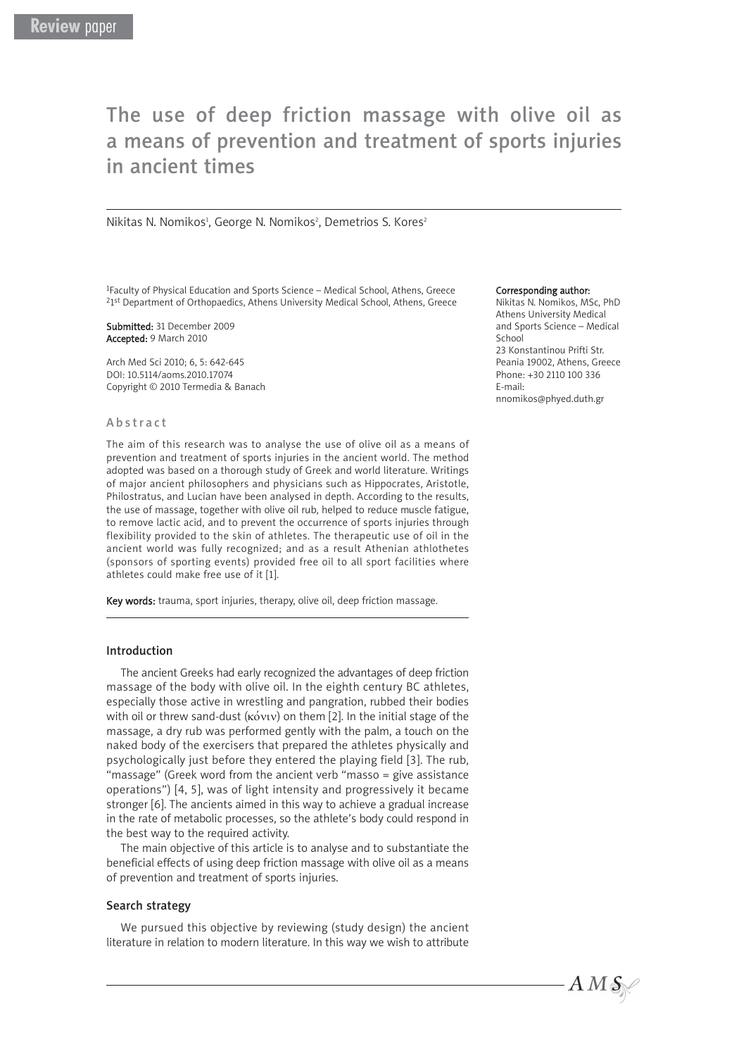# The use of deep friction massage with olive oil as a means of prevention and treatment of sports injuries in ancient times

Nikitas N. Nomikos<sup>1</sup>, George N. Nomikos<sup>2</sup>, Demetrios S. Kores<sup>2</sup>

1Faculty of Physical Education and Sports Science – Medical School, Athens, Greece 21st Department of Orthopaedics, Athens University Medical School, Athens, Greece

Submitted: 31 December 2009 Accepted: 9 March 2010

Arch Med Sci 2010; 6, 5: 642-645 DOI: 10.5114/aoms.2010.17074 Copyright © 2010 Termedia & Banach

#### Abstract

The aim of this research was to analyse the use of olive oil as a means of prevention and treatment of sports injuries in the ancient world. The method adopted was based on a thorough study of Greek and world literature. Writings of major ancient philosophers and physicians such as Hippocrates, Aristotle, Philostratus, and Lucian have been analysed in depth. According to the results, the use of massage, together with olive oil rub, helped to reduce muscle fatigue, to remove lactic acid, and to prevent the occurrence of sports injuries through flexibility provided to the skin of athletes. The therapeutic use of oil in the ancient world was fully recognized; and as a result Athenian athlothetes (sponsors of sporting events) provided free oil to all sport facilities where athletes could make free use of it [1].

Key words: trauma, sport injuries, therapy, olive oil, deep friction massage.

### Introduction

The ancient Greeks had early recognized the advantages of deep friction massage of the body with olive oil. In the eighth century BC athletes, especially those active in wrestling and pangration, rubbed their bodies with oil or threw sand-dust (κόνιν) on them [2]. In the initial stage of the massage, a dry rub was performed gently with the palm, a touch on the naked body of the exercisers that prepared the athletes physically and psychologically just before they entered the playing field [3]. The rub, "massage" (Greek word from the ancient verb "masso = give assistance operations") [4, 5], was of light intensity and progressively it became stronger [6]. The ancients aimed in this way to achieve a gradual increase in the rate of metabolic processes, so the athlete's body could respond in the best way to the required activity.

The main objective of this article is to analyse and to substantiate the beneficial effects of using deep friction massage with olive oil as a means of prevention and treatment of sports injuries.

#### Search strategy

We pursued this objective by reviewing (study design) the ancient literature in relation to modern literature. In this way we wish to attribute

#### Corresponding author:

Nikitas N. Nomikos, MSc, PhD Athens University Medical and Sports Science – Medical School 23 Konstantinou Prifti Str. Peania 19002, Athens, Greece Phone: +30 2110 100 336 E-mail: nnomikos@phyed.duth.gr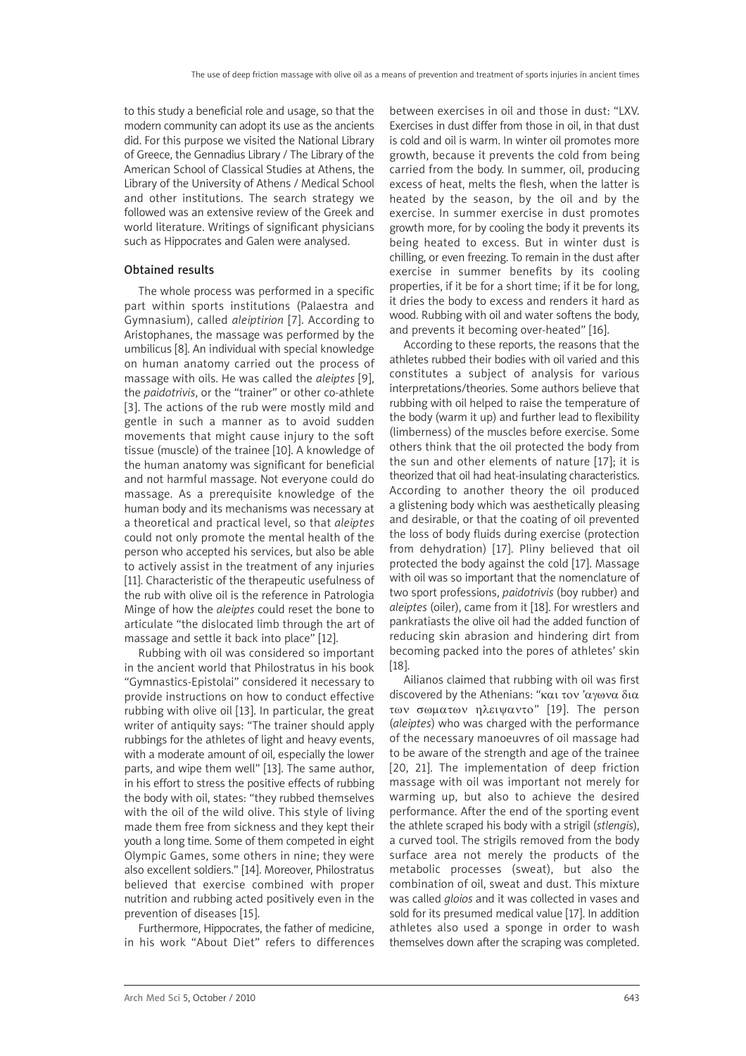to this study a beneficial role and usage, so that the modern community can adopt its use as the ancients did. For this purpose we visited the National Library of Greece, the Gennadius Library / The Library of the American School of Classical Studies at Athens, the Library of the University of Athens / Medical School and other institutions. The search strategy we followed was an extensive review of the Greek and world literature. Writings of significant physicians such as Hippocrates and Galen were analysed.

# Obtained results

The whole process was performed in a specific part within sports institutions (Palaestra and Gymnasium), called *aleiptirion* [7]. According to Aristophanes, the massage was performed by the umbilicus [8]. An individual with special knowledge on human anatomy carried out the process of massage with oils. He was called the *aleiptes* [9], the *paidotrivis*, or the "trainer" or other co-athlete [3]. The actions of the rub were mostly mild and gentle in such a manner as to avoid sudden movements that might cause injury to the soft tissue (muscle) of the trainee [10]. A knowledge of the human anatomy was significant for beneficial and not harmful massage. Not everyone could do massage. As a prerequisite knowledge of the human body and its mechanisms was necessary at a theoretical and practical level, so that *aleiptes* could not only promote the mental health of the person who accepted his services, but also be able to actively assist in the treatment of any injuries [11]. Characteristic of the therapeutic usefulness of the rub with olive oil is the reference in Patrologia Minge of how the *aleiptes* could reset the bone to articulate "the dislocated limb through the art of massage and settle it back into place" [12].

Rubbing with oil was considered so important in the ancient world that Philostratus in his book "Gymnastics-Epistolai" considered it necessary to provide instructions on how to conduct effective rubbing with olive oil [13]. In particular, the great writer of antiquity says: "The trainer should apply rubbings for the athletes of light and heavy events, with a moderate amount of oil, especially the lower parts, and wipe them well" [13]. The same author, in his effort to stress the positive effects of rubbing the body with oil, states: "they rubbed themselves with the oil of the wild olive. This style of living made them free from sickness and they kept their youth a long time. Some of them competed in eight Olympic Games, some others in nine; they were also excellent soldiers." [14]. Moreover, Philostratus believed that exercise combined with proper nutrition and rubbing acted positively even in the prevention of diseases [15].

Furthermore, Hippocrates, the father of medicine, in his work "About Diet" refers to differences between exercises in oil and those in dust: "LXV. Exercises in dust differ from those in oil, in that dust is cold and oil is warm. In winter oil promotes more growth, because it prevents the cold from being carried from the body. In summer, oil, producing excess of heat, melts the flesh, when the latter is heated by the season, by the oil and by the exercise. In summer exercise in dust promotes growth more, for by cooling the body it prevents its being heated to excess. But in winter dust is chilling, or even freezing. To remain in the dust after exercise in summer benefits by its cooling properties, if it be for a short time; if it be for long, it dries the body to excess and renders it hard as wood. Rubbing with oil and water softens the body, and prevents it becoming over-heated" [16].

According to these reports, the reasons that the athletes rubbed their bodies with oil varied and this constitutes a subject of analysis for various interpretations/theories. Some authors believe that rubbing with oil helped to raise the temperature of the body (warm it up) and further lead to flexibility (limberness) of the muscles before exercise. Some others think that the oil protected the body from the sun and other elements of nature [17]; it is theorized that oil had heat-insulating characteristics. According to another theory the oil produced a glistening body which was aesthetically pleasing and desirable, or that the coating of oil prevented the loss of body fluids during exercise (protection from dehydration) [17]. Pliny believed that oil protected the body against the cold [17]. Massage with oil was so important that the nomenclature of two sport professions, *paidotrivis* (boy rubber) and *aleiptes* (oiler), came from it [18]. For wrestlers and pankratiasts the olive oil had the added function of reducing skin abrasion and hindering dirt from becoming packed into the pores of athletes' skin [18].

Ailianos claimed that rubbing with oil was first discovered by the Athenians: "και τον 'αγωνα δια των σωµατων ηλειψαντο" [19]. The person (*aleiptes*) who was charged with the performance of the necessary manoeuvres of oil massage had to be aware of the strength and age of the trainee [20, 21]. The implementation of deep friction massage with oil was important not merely for warming up, but also to achieve the desired performance. After the end of the sporting event the athlete scraped his body with a strigil (*stlengis*), a curved tool. The strigils removed from the body surface area not merely the products of the metabolic processes (sweat), but also the combination of oil, sweat and dust. This mixture was called *gloios* and it was collected in vases and sold for its presumed medical value [17]. In addition athletes also used a sponge in order to wash themselves down after the scraping was completed.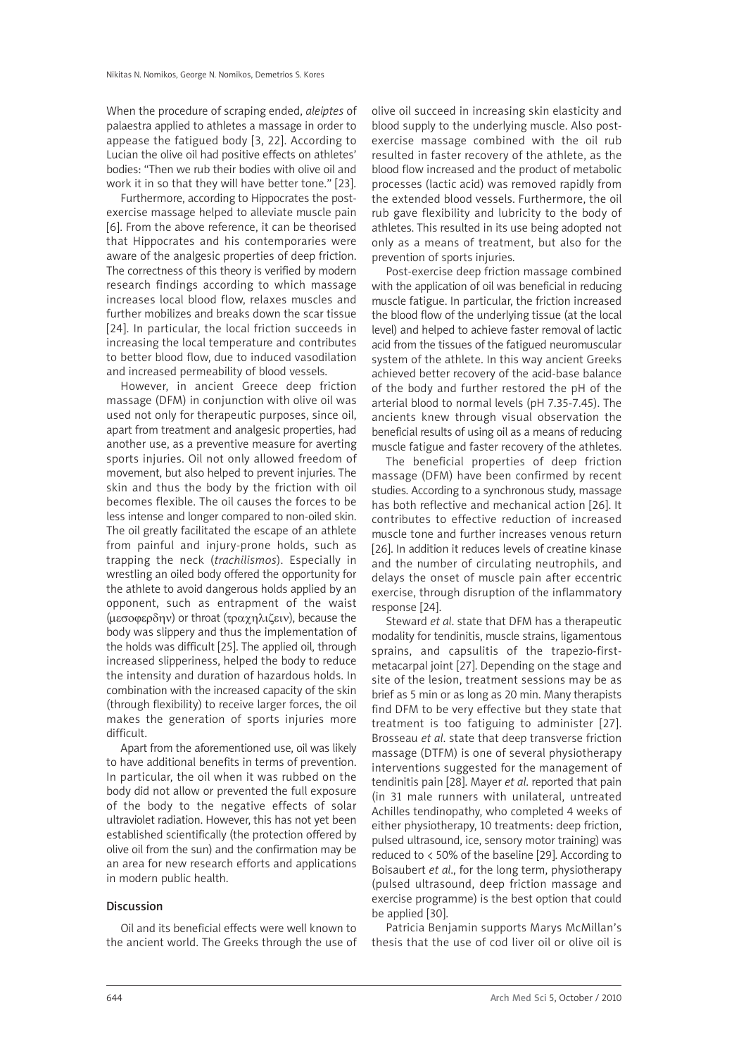When the procedure of scraping ended, *aleiptes* of palaestra applied to athletes a massage in order to appease the fatigued body [3, 22]. According to Lucian the olive oil had positive effects on athletes' bodies: "Then we rub their bodies with olive oil and work it in so that they will have better tone." [23].

Furthermore, according to Hippocrates the postexercise massage helped to alleviate muscle pain [6]. From the above reference, it can be theorised that Hippocrates and his contemporaries were aware of the analgesic properties of deep friction. The correctness of this theory is verified by modern research findings according to which massage increases local blood flow, relaxes muscles and further mobilizes and breaks down the scar tissue [24]. In particular, the local friction succeeds in increasing the local temperature and contributes to better blood flow, due to induced vasodilation and increased permeability of blood vessels.

However, in ancient Greece deep friction massage (DFM) in conjunction with olive oil was used not only for therapeutic purposes, since oil, apart from treatment and analgesic properties, had another use, as a preventive measure for averting sports injuries. Oil not only allowed freedom of movement, but also helped to prevent injuries. The skin and thus the body by the friction with oil becomes flexible. The oil causes the forces to be less intense and longer compared to non-oiled skin. The oil greatly facilitated the escape of an athlete from painful and injury-prone holds, such as trapping the neck (*trachilismos*). Especially in wrestling an oiled body offered the opportunity for the athlete to avoid dangerous holds applied by an opponent, such as entrapment of the waist (µεσοϕερδην) or throat (τραχηλιζειν), because the body was slippery and thus the implementation of the holds was difficult [25]. The applied oil, through increased slipperiness, helped the body to reduce the intensity and duration of hazardous holds. In combination with the increased capacity of the skin (through flexibility) to receive larger forces, the oil makes the generation of sports injuries more difficult.

Apart from the aforementioned use, oil was likely to have additional benefits in terms of prevention. In particular, the oil when it was rubbed on the body did not allow or prevented the full exposure of the body to the negative effects of solar ultraviolet radiation. However, this has not yet been established scientifically (the protection offered by olive oil from the sun) and the confirmation may be an area for new research efforts and applications in modern public health.

## Discussion

Oil and its beneficial effects were well known to the ancient world. The Greeks through the use of

olive oil succeed in increasing skin elasticity and blood supply to the underlying muscle. Also postexercise massage combined with the oil rub resulted in faster recovery of the athlete, as the blood flow increased and the product of metabolic processes (lactic acid) was removed rapidly from the extended blood vessels. Furthermore, the oil rub gave flexibility and lubricity to the body of athletes. This resulted in its use being adopted not only as a means of treatment, but also for the prevention of sports injuries.

Post-exercise deep friction massage combined with the application of oil was beneficial in reducing muscle fatigue. In particular, the friction increased the blood flow of the underlying tissue (at the local level) and helped to achieve faster removal of lactic acid from the tissues of the fatigued neuromuscular system of the athlete. In this way ancient Greeks achieved better recovery of the acid-base balance of the body and further restored the pH of the arterial blood to normal levels (pH 7.35-7.45). The ancients knew through visual observation the beneficial results of using oil as a means of reducing muscle fatigue and faster recovery of the athletes.

The beneficial properties of deep friction massage (DFM) have been confirmed by recent studies. According to a synchronous study, massage has both reflective and mechanical action [26]. It contributes to effective reduction of increased muscle tone and further increases venous return [26]. In addition it reduces levels of creatine kinase and the number of circulating neutrophils, and delays the onset of muscle pain after eccentric exercise, through disruption of the inflammatory response [24].

Steward *et al*. state that DFM has a therapeutic modality for tendinitis, muscle strains, ligamentous sprains, and capsulitis of the trapezio-firstmetacarpal joint [27]. Depending on the stage and site of the lesion, treatment sessions may be as brief as 5 min or as long as 20 min. Many therapists find DFM to be very effective but they state that treatment is too fatiguing to administer [27]. Brosseau *et al*. state that deep transverse friction massage (DTFM) is one of several physiotherapy interventions suggested for the management of tendinitis pain [28]. Mayer *et al*. reported that pain (in 31 male runners with unilateral, untreated Achilles tendinopathy, who completed 4 weeks of either physiotherapy, 10 treatments: deep friction, pulsed ultrasound, ice, sensory motor training) was reduced to < 50% of the baseline [29]. According to Boisaubert *et al*., for the long term, physiotherapy (pulsed ultrasound, deep friction massage and exercise programme) is the best option that could be applied [30].

Patricia Benjamin supports Marys McMillan's thesis that the use of cod liver oil or olive oil is